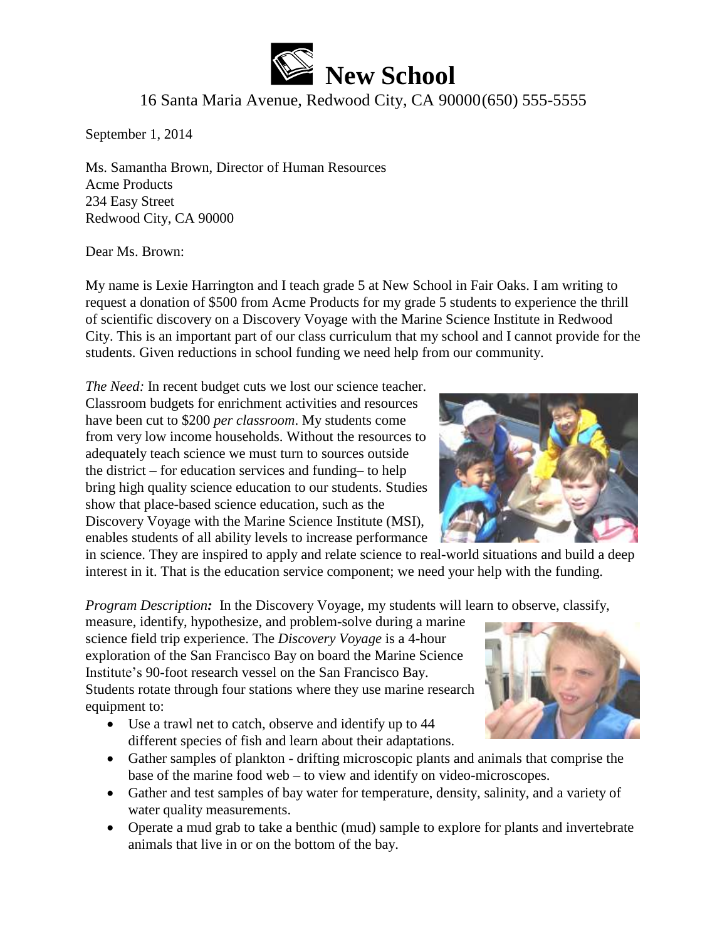

## 16 Santa Maria Avenue, Redwood City, CA 90000(650) 555-5555

September 1, 2014

Ms. Samantha Brown, Director of Human Resources Acme Products 234 Easy Street Redwood City, CA 90000

Dear Ms. Brown:

My name is Lexie Harrington and I teach grade 5 at New School in Fair Oaks. I am writing to request a donation of \$500 from Acme Products for my grade 5 students to experience the thrill of scientific discovery on a Discovery Voyage with the Marine Science Institute in Redwood City. This is an important part of our class curriculum that my school and I cannot provide for the students. Given reductions in school funding we need help from our community.

*The Need:* In recent budget cuts we lost our science teacher. Classroom budgets for enrichment activities and resources have been cut to \$200 *per classroom*. My students come from very low income households. Without the resources to adequately teach science we must turn to sources outside the district – for education services and funding– to help bring high quality science education to our students. Studies show that place-based science education, such as the Discovery Voyage with the Marine Science Institute (MSI), enables students of all ability levels to increase performance

in science. They are inspired to apply and relate science to real-world situations and build a deep interest in it. That is the education service component; we need your help with the funding.

*Program Description:* In the Discovery Voyage, my students will learn to observe, classify,

measure, identify, hypothesize, and problem-solve during a marine science field trip experience. The *Discovery Voyage* is a 4-hour exploration of the San Francisco Bay on board the Marine Science Institute's 90-foot research vessel on the San Francisco Bay. Students rotate through four stations where they use marine research equipment to:

- Use a trawl net to catch, observe and identify up to 44 different species of fish and learn about their adaptations.
- Gather samples of plankton drifting microscopic plants and animals that comprise the base of the marine food web – to view and identify on video-microscopes.
- Gather and test samples of bay water for temperature, density, salinity, and a variety of water quality measurements.
- Operate a mud grab to take a benthic (mud) sample to explore for plants and invertebrate animals that live in or on the bottom of the bay.